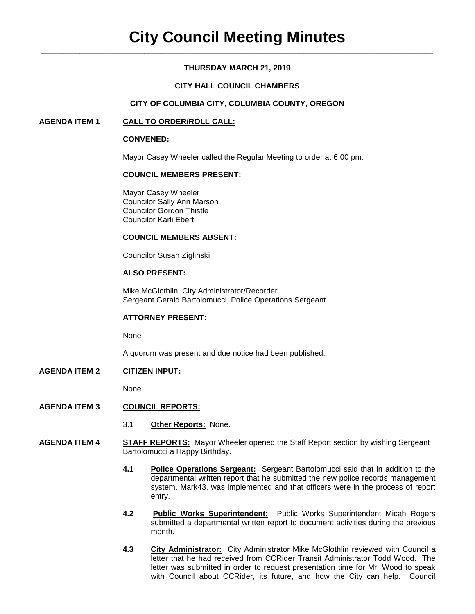## **THURSDAY MARCH 21, 2019**

## **CITY HALL COUNCIL CHAMBERS**

## **CITY OF COLUMBIA CITY, COLUMBIA COUNTY, OREGON**

## **AGENDA ITEM 1 CALL TO ORDER/ROLL CALL:**

#### **CONVENED:**

Mayor Casey Wheeler called the Regular Meeting to order at 6:00 pm.

## **COUNCIL MEMBERS PRESENT:**

Mayor Casey Wheeler Councilor Sally Ann Marson Councilor Gordon Thistle Councilor Karli Ebert

#### **COUNCIL MEMBERS ABSENT:**

Councilor Susan Ziglinski

## **ALSO PRESENT:**

Mike McGlothlin, City Administrator/Recorder Sergeant Gerald Bartolomucci, Police Operations Sergeant

#### **ATTORNEY PRESENT:**

None

A quorum was present and due notice had been published.

**AGENDA ITEM 2 CITIZEN INPUT:**

None

## **AGENDA ITEM 3 COUNCIL REPORTS:**

- 3.1 **Other Reports:** None.
- **AGENDA ITEM 4 STAFF REPORTS:** Mayor Wheeler opened the Staff Report section by wishing Sergeant Bartolomucci a Happy Birthday.
	- **4.1 Police Operations Sergeant:** Sergeant Bartolomucci said that in addition to the departmental written report that he submitted the new police records management system, Mark43, was implemented and that officers were in the process of report entry.
	- **4.2 Public Works Superintendent:** Public Works Superintendent Micah Rogers submitted a departmental written report to document activities during the previous month.
	- **4.3 City Administrator:** City Administrator Mike McGlothlin reviewed with Council a letter that he had received from CCRider Transit Administrator Todd Wood. The letter was submitted in order to request presentation time for Mr. Wood to speak with Council about CCRider, its future, and how the City can help. Council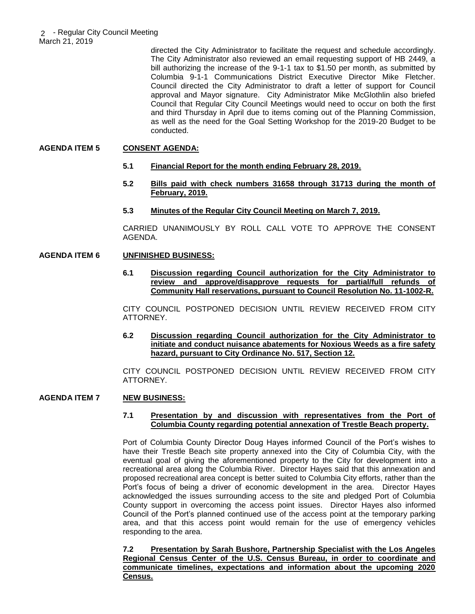directed the City Administrator to facilitate the request and schedule accordingly. The City Administrator also reviewed an email requesting support of HB 2449, a bill authorizing the increase of the 9-1-1 tax to \$1.50 per month, as submitted by Columbia 9-1-1 Communications District Executive Director Mike Fletcher. Council directed the City Administrator to draft a letter of support for Council approval and Mayor signature. City Administrator Mike McGlothlin also briefed Council that Regular City Council Meetings would need to occur on both the first and third Thursday in April due to items coming out of the Planning Commission, as well as the need for the Goal Setting Workshop for the 2019-20 Budget to be conducted.

## **AGENDA ITEM 5 CONSENT AGENDA:**

- **5.1 Financial Report for the month ending February 28, 2019.**
- **5.2 Bills paid with check numbers 31658 through 31713 during the month of February, 2019.**
- **5.3 Minutes of the Regular City Council Meeting on March 7, 2019.**

CARRIED UNANIMOUSLY BY ROLL CALL VOTE TO APPROVE THE CONSENT AGENDA.

## **AGENDA ITEM 6 UNFINISHED BUSINESS:**

**6.1 Discussion regarding Council authorization for the City Administrator to review and approve/disapprove requests for partial/full refunds of Community Hall reservations, pursuant to Council Resolution No. 11-1002-R.** 

CITY COUNCIL POSTPONED DECISION UNTIL REVIEW RECEIVED FROM CITY ATTORNEY.

**6.2 Discussion regarding Council authorization for the City Administrator to initiate and conduct nuisance abatements for Noxious Weeds as a fire safety hazard, pursuant to City Ordinance No. 517, Section 12.** 

CITY COUNCIL POSTPONED DECISION UNTIL REVIEW RECEIVED FROM CITY ATTORNEY.

## **AGENDA ITEM 7 NEW BUSINESS:**

## **7.1 Presentation by and discussion with representatives from the Port of Columbia County regarding potential annexation of Trestle Beach property.**

Port of Columbia County Director Doug Hayes informed Council of the Port's wishes to have their Trestle Beach site property annexed into the City of Columbia City, with the eventual goal of giving the aforementioned property to the City for development into a recreational area along the Columbia River. Director Hayes said that this annexation and proposed recreational area concept is better suited to Columbia City efforts, rather than the Port's focus of being a driver of economic development in the area. Director Hayes acknowledged the issues surrounding access to the site and pledged Port of Columbia County support in overcoming the access point issues. Director Hayes also informed Council of the Port's planned continued use of the access point at the temporary parking area, and that this access point would remain for the use of emergency vehicles responding to the area.

**7.2 Presentation by Sarah Bushore, Partnership Specialist with the Los Angeles Regional Census Center of the U.S. Census Bureau, in order to coordinate and communicate timelines, expectations and information about the upcoming 2020 Census.**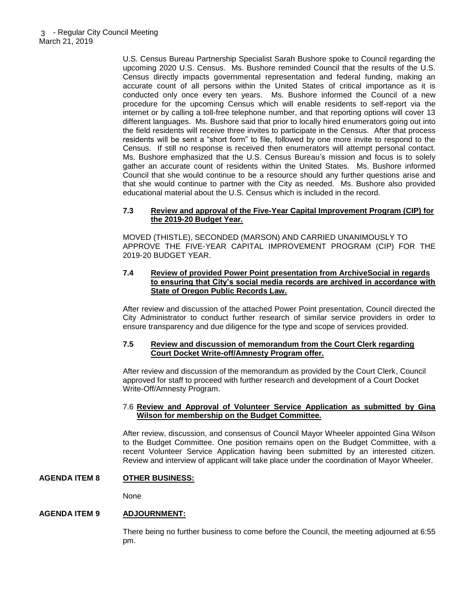U.S. Census Bureau Partnership Specialist Sarah Bushore spoke to Council regarding the upcoming 2020 U.S. Census. Ms. Bushore reminded Council that the results of the U.S. Census directly impacts governmental representation and federal funding, making an accurate count of all persons within the United States of critical importance as it is conducted only once every ten years. Ms. Bushore informed the Council of a new procedure for the upcoming Census which will enable residents to self-report via the internet or by calling a toll-free telephone number, and that reporting options will cover 13 different languages. Ms. Bushore said that prior to locally hired enumerators going out into the field residents will receive three invites to participate in the Census. After that process residents will be sent a "short form" to file, followed by one more invite to respond to the Census. If still no response is received then enumerators will attempt personal contact. Ms. Bushore emphasized that the U.S. Census Bureau's mission and focus is to solely gather an accurate count of residents within the United States. Ms. Bushore informed Council that she would continue to be a resource should any further questions arise and that she would continue to partner with the City as needed. Ms. Bushore also provided educational material about the U.S. Census which is included in the record.

## **7.3 Review and approval of the Five-Year Capital Improvement Program (CIP) for the 2019-20 Budget Year.**

MOVED (THISTLE), SECONDED (MARSON) AND CARRIED UNANIMOUSLY TO APPROVE THE FIVE-YEAR CAPITAL IMPROVEMENT PROGRAM (CIP) FOR THE 2019-20 BUDGET YEAR.

#### **7.4 Review of provided Power Point presentation from ArchiveSocial in regards to ensuring that City's social media records are archived in accordance with State of Oregon Public Records Law.**

After review and discussion of the attached Power Point presentation, Council directed the City Administrator to conduct further research of similar service providers in order to ensure transparency and due diligence for the type and scope of services provided.

#### **7.5 Review and discussion of memorandum from the Court Clerk regarding Court Docket Write-off/Amnesty Program offer.**

After review and discussion of the memorandum as provided by the Court Clerk, Council approved for staff to proceed with further research and development of a Court Docket Write-Off/Amnesty Program.

#### 7.6 **Review and Approval of Volunteer Service Application as submitted by Gina Wilson for membership on the Budget Committee.**

After review, discussion, and consensus of Council Mayor Wheeler appointed Gina Wilson to the Budget Committee. One position remains open on the Budget Committee, with a recent Volunteer Service Application having been submitted by an interested citizen. Review and interview of applicant will take place under the coordination of Mayor Wheeler.

# **AGENDA ITEM 8 OTHER BUSINESS:**

None

#### **AGENDA ITEM 9 ADJOURNMENT:**

There being no further business to come before the Council, the meeting adjourned at 6:55 pm.